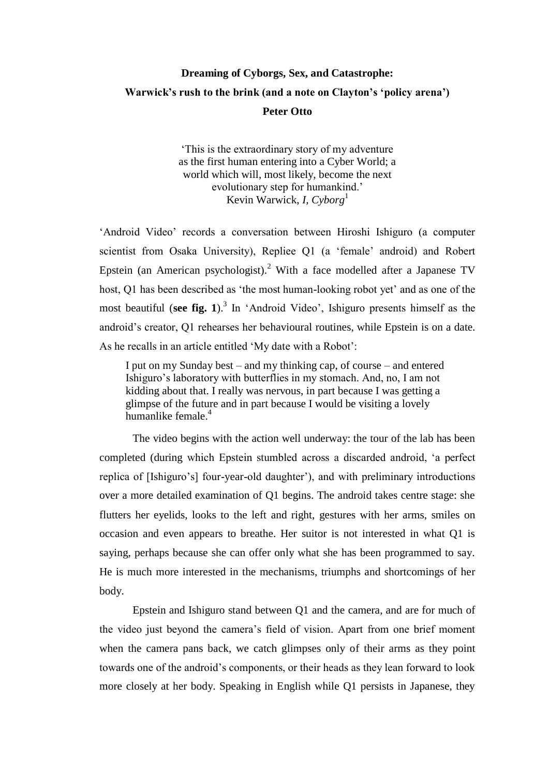# **Dreaming of Cyborgs, Sex, and Catastrophe: Warwick's rush to the brink (and a note on Clayton's 'policy arena') Peter Otto**

"This is the extraordinary story of my adventure as the first human entering into a Cyber World; a world which will, most likely, become the next evolutionary step for humankind.' Kevin Warwick, *I, Cyborg*<sup>1</sup>

"Android Video" records a conversation between Hiroshi Ishiguro (a computer scientist from Osaka University), Repliee Q1 (a "female" android) and Robert Epstein (an American psychologist).<sup>2</sup> With a face modelled after a Japanese TV host, Q1 has been described as 'the most human-looking robot yet' and as one of the most beautiful (see fig. 1).<sup>3</sup> In 'Android Video', Ishiguro presents himself as the android"s creator, Q1 rehearses her behavioural routines, while Epstein is on a date. As he recalls in an article entitled "My date with a Robot":

I put on my Sunday best – and my thinking cap, of course – and entered Ishiguro"s laboratory with butterflies in my stomach. And, no, I am not kidding about that. I really was nervous, in part because I was getting a glimpse of the future and in part because I would be visiting a lovely humanlike female. $4$ 

The video begins with the action well underway: the tour of the lab has been completed (during which Epstein stumbled across a discarded android, "a perfect replica of [Ishiguro's] four-year-old daughter'), and with preliminary introductions over a more detailed examination of Q1 begins. The android takes centre stage: she flutters her eyelids, looks to the left and right, gestures with her arms, smiles on occasion and even appears to breathe. Her suitor is not interested in what Q1 is saying, perhaps because she can offer only what she has been programmed to say. He is much more interested in the mechanisms, triumphs and shortcomings of her body.

Epstein and Ishiguro stand between Q1 and the camera, and are for much of the video just beyond the camera"s field of vision. Apart from one brief moment when the camera pans back, we catch glimpses only of their arms as they point towards one of the android"s components, or their heads as they lean forward to look more closely at her body. Speaking in English while Q1 persists in Japanese, they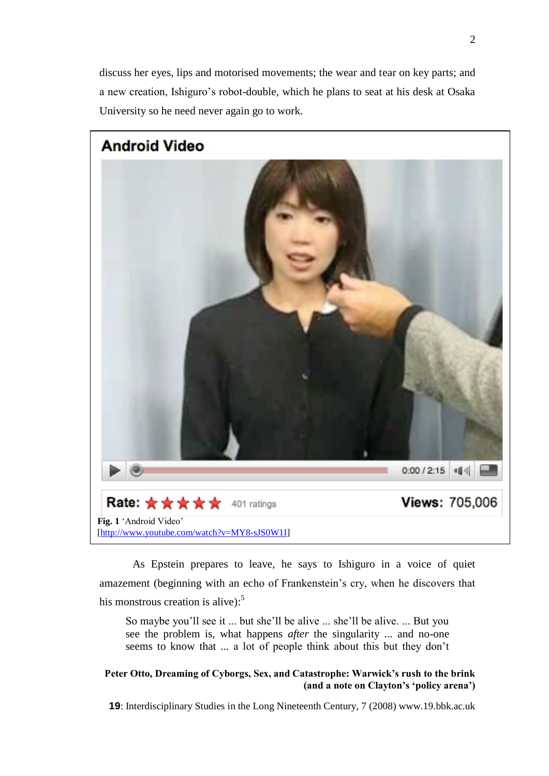discuss her eyes, lips and motorised movements; the wear and tear on key parts; and a new creation, Ishiguro"s robot-double, which he plans to seat at his desk at Osaka University so he need never again go to work.



As Epstein prepares to leave, he says to Ishiguro in a voice of quiet amazement (beginning with an echo of Frankenstein"s cry, when he discovers that his monstrous creation is alive): $5$ 

So maybe you'll see it ... but she'll be alive ... she'll be alive. ... But you see the problem is, what happens *after* the singularity ... and no-one seems to know that ... a lot of people think about this but they don"t

#### **Peter Otto, Dreaming of Cyborgs, Sex, and Catastrophe: Warwick's rush to the brink (and a note on Clayton's 'policy arena')**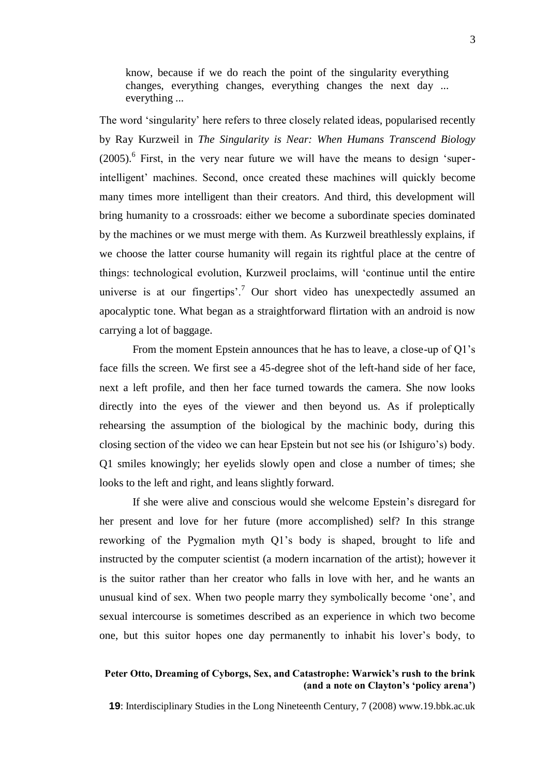know, because if we do reach the point of the singularity everything changes, everything changes, everything changes the next day ... everything ...

The word "singularity" here refers to three closely related ideas, popularised recently by Ray Kurzweil in *The Singularity is Near: When Humans Transcend Biology*   $(2005)$ .<sup>6</sup> First, in the very near future we will have the means to design 'superintelligent" machines. Second, once created these machines will quickly become many times more intelligent than their creators. And third, this development will bring humanity to a crossroads: either we become a subordinate species dominated by the machines or we must merge with them. As Kurzweil breathlessly explains, if we choose the latter course humanity will regain its rightful place at the centre of things: technological evolution, Kurzweil proclaims, will "continue until the entire universe is at our fingertips'.<sup>7</sup> Our short video has unexpectedly assumed an apocalyptic tone. What began as a straightforward flirtation with an android is now carrying a lot of baggage.

From the moment Epstein announces that he has to leave, a close-up of Q1"s face fills the screen. We first see a 45-degree shot of the left-hand side of her face, next a left profile, and then her face turned towards the camera. She now looks directly into the eyes of the viewer and then beyond us. As if proleptically rehearsing the assumption of the biological by the machinic body, during this closing section of the video we can hear Epstein but not see his (or Ishiguro"s) body. Q1 smiles knowingly; her eyelids slowly open and close a number of times; she looks to the left and right, and leans slightly forward.

If she were alive and conscious would she welcome Epstein"s disregard for her present and love for her future (more accomplished) self? In this strange reworking of the Pygmalion myth Q1"s body is shaped, brought to life and instructed by the computer scientist (a modern incarnation of the artist); however it is the suitor rather than her creator who falls in love with her, and he wants an unusual kind of sex. When two people marry they symbolically become "one", and sexual intercourse is sometimes described as an experience in which two become one, but this suitor hopes one day permanently to inhabit his lover"s body, to

#### **Peter Otto, Dreaming of Cyborgs, Sex, and Catastrophe: Warwick's rush to the brink (and a note on Clayton's 'policy arena')**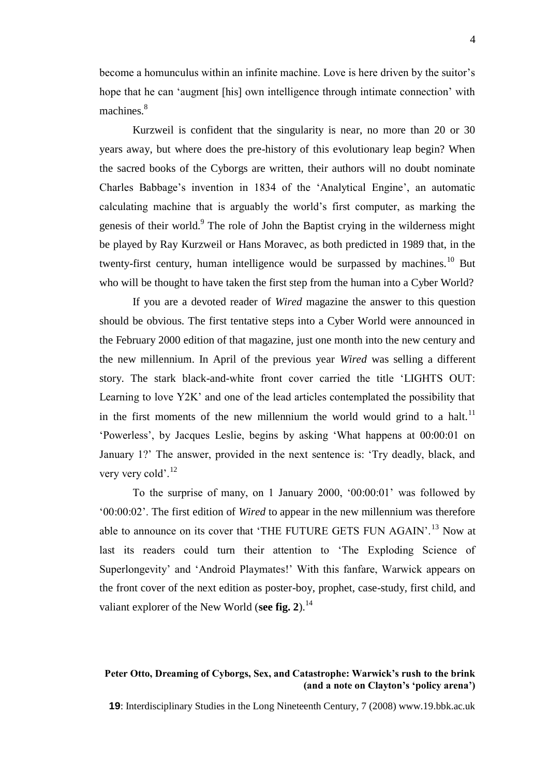become a homunculus within an infinite machine. Love is here driven by the suitor's hope that he can 'augment [his] own intelligence through intimate connection' with machines $8<sup>8</sup>$ 

Kurzweil is confident that the singularity is near, no more than 20 or 30 years away, but where does the pre-history of this evolutionary leap begin? When the sacred books of the Cyborgs are written, their authors will no doubt nominate Charles Babbage"s invention in 1834 of the "Analytical Engine", an automatic calculating machine that is arguably the world"s first computer, as marking the genesis of their world.<sup>9</sup> The role of John the Baptist crying in the wilderness might be played by Ray Kurzweil or Hans Moravec, as both predicted in 1989 that, in the twenty-first century, human intelligence would be surpassed by machines.<sup>10</sup> But who will be thought to have taken the first step from the human into a Cyber World?

If you are a devoted reader of *Wired* magazine the answer to this question should be obvious. The first tentative steps into a Cyber World were announced in the February 2000 edition of that magazine, just one month into the new century and the new millennium. In April of the previous year *Wired* was selling a different story. The stark black-and-white front cover carried the title "LIGHTS OUT: Learning to love Y2K" and one of the lead articles contemplated the possibility that in the first moments of the new millennium the world would grind to a halt.<sup>11</sup> "Powerless", by Jacques Leslie, begins by asking "What happens at 00:00:01 on January 1?" The answer, provided in the next sentence is: "Try deadly, black, and very very cold'.<sup>12</sup>

To the surprise of many, on 1 January 2000, "00:00:01" was followed by "00:00:02". The first edition of *Wired* to appear in the new millennium was therefore able to announce on its cover that 'THE FUTURE GETS FUN AGAIN'.<sup>13</sup> Now at last its readers could turn their attention to "The Exploding Science of Superlongevity' and 'Android Playmates!' With this fanfare, Warwick appears on the front cover of the next edition as poster-boy, prophet, case-study, first child, and valiant explorer of the New World (see fig. 2).<sup>14</sup>

#### **Peter Otto, Dreaming of Cyborgs, Sex, and Catastrophe: Warwick's rush to the brink (and a note on Clayton's 'policy arena')**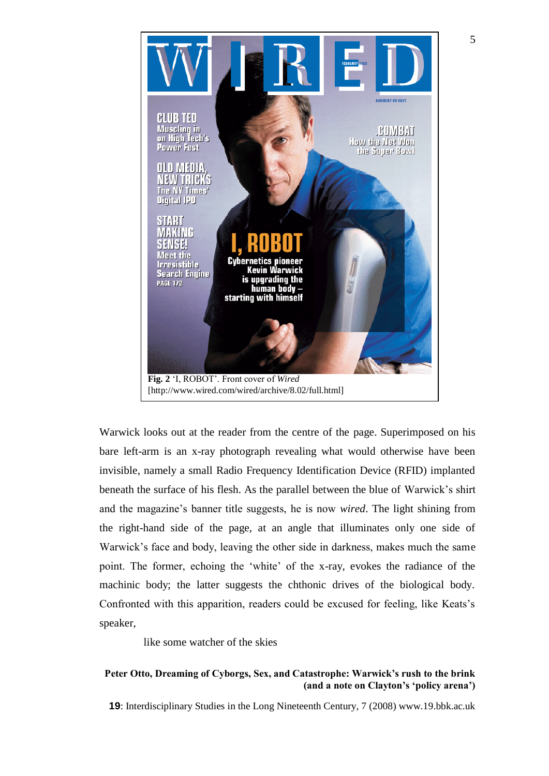

Warwick looks out at the reader from the centre of the page. Superimposed on his bare left-arm is an x-ray photograph revealing what would otherwise have been invisible, namely a small Radio Frequency Identification Device (RFID) implanted beneath the surface of his flesh. As the parallel between the blue of Warwick"s shirt and the magazine"s banner title suggests, he is now *wired*. The light shining from the right-hand side of the page, at an angle that illuminates only one side of Warwick"s face and body, leaving the other side in darkness, makes much the same point. The former, echoing the "white" of the x-ray, evokes the radiance of the machinic body; the latter suggests the chthonic drives of the biological body. Confronted with this apparition, readers could be excused for feeling, like Keats"s speaker,

like some watcher of the skies

# **Peter Otto, Dreaming of Cyborgs, Sex, and Catastrophe: Warwick's rush to the brink (and a note on Clayton's 'policy arena')**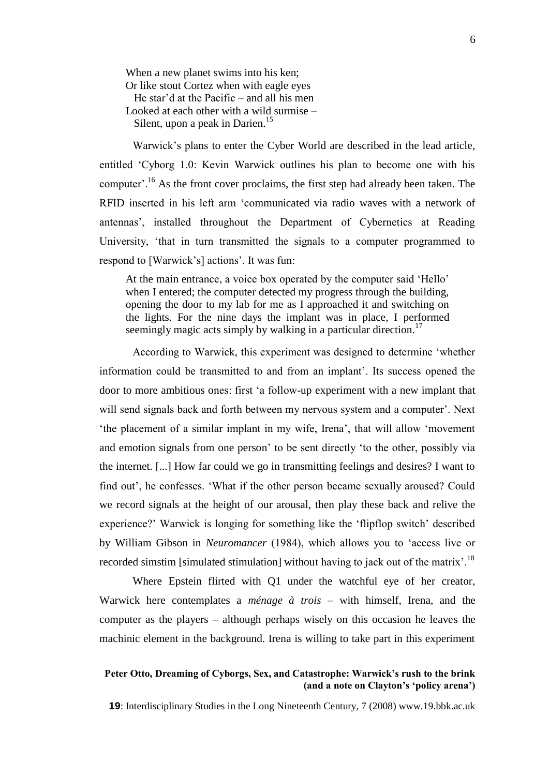When a new planet swims into his ken; Or like stout Cortez when with eagle eyes He star"d at the Pacific – and all his men Looked at each other with a wild surmise – Silent, upon a peak in Darien.<sup>15</sup>

Warwick"s plans to enter the Cyber World are described in the lead article, entitled "Cyborg 1.0: Kevin Warwick outlines his plan to become one with his computer'.<sup>16</sup> As the front cover proclaims, the first step had already been taken. The RFID inserted in his left arm "communicated via radio waves with a network of antennas", installed throughout the Department of Cybernetics at Reading University, "that in turn transmitted the signals to a computer programmed to respond to [Warwick's] actions'. It was fun:

At the main entrance, a voice box operated by the computer said "Hello" when I entered; the computer detected my progress through the building, opening the door to my lab for me as I approached it and switching on the lights. For the nine days the implant was in place, I performed seemingly magic acts simply by walking in a particular direction.<sup>17</sup>

According to Warwick, this experiment was designed to determine "whether information could be transmitted to and from an implant'. Its success opened the door to more ambitious ones: first "a follow-up experiment with a new implant that will send signals back and forth between my nervous system and a computer". Next "the placement of a similar implant in my wife, Irena", that will allow "movement and emotion signals from one person" to be sent directly "to the other, possibly via the internet. [...] How far could we go in transmitting feelings and desires? I want to find out", he confesses. "What if the other person became sexually aroused? Could we record signals at the height of our arousal, then play these back and relive the experience?" Warwick is longing for something like the "flipflop switch" described by William Gibson in *Neuromancer* (1984), which allows you to "access live or recorded simstim [simulated stimulation] without having to jack out of the matrix'.<sup>18</sup>

Where Epstein flirted with Q1 under the watchful eye of her creator, Warwick here contemplates a *ménage à trois* – with himself, Irena, and the computer as the players – although perhaps wisely on this occasion he leaves the machinic element in the background. Irena is willing to take part in this experiment

#### **Peter Otto, Dreaming of Cyborgs, Sex, and Catastrophe: Warwick's rush to the brink (and a note on Clayton's 'policy arena')**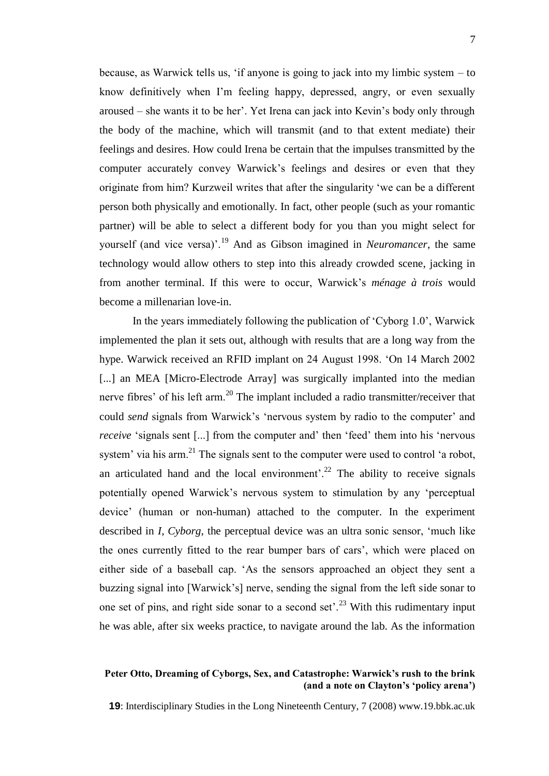because, as Warwick tells us, "if anyone is going to jack into my limbic system – to know definitively when I"m feeling happy, depressed, angry, or even sexually aroused – she wants it to be her". Yet Irena can jack into Kevin"s body only through the body of the machine, which will transmit (and to that extent mediate) their feelings and desires. How could Irena be certain that the impulses transmitted by the computer accurately convey Warwick"s feelings and desires or even that they originate from him? Kurzweil writes that after the singularity "we can be a different person both physically and emotionally. In fact, other people (such as your romantic partner) will be able to select a different body for you than you might select for yourself (and vice versa)<sup>' 19</sup> And as Gibson imagined in *Neuromancer*, the same technology would allow others to step into this already crowded scene, jacking in from another terminal. If this were to occur, Warwick"s *ménage à trois* would become a millenarian love-in.

In the years immediately following the publication of "Cyborg 1.0", Warwick implemented the plan it sets out, although with results that are a long way from the hype. Warwick received an RFID implant on 24 August 1998. "On 14 March 2002 [...] an MEA [Micro-Electrode Array] was surgically implanted into the median nerve fibres' of his left arm.<sup>20</sup> The implant included a radio transmitter/receiver that could *send* signals from Warwick's 'nervous system by radio to the computer' and *receive* 'signals sent [...] from the computer and' then 'feed' them into his 'nervous system' via his arm. $^{21}$  The signals sent to the computer were used to control 'a robot, an articulated hand and the local environment'.<sup>22</sup> The ability to receive signals potentially opened Warwick"s nervous system to stimulation by any "perceptual device" (human or non-human) attached to the computer. In the experiment described in *I, Cyborg*, the perceptual device was an ultra sonic sensor, "much like the ones currently fitted to the rear bumper bars of cars', which were placed on either side of a baseball cap. "As the sensors approached an object they sent a buzzing signal into [Warwick"s] nerve, sending the signal from the left side sonar to one set of pins, and right side sonar to a second set'.<sup>23</sup> With this rudimentary input he was able, after six weeks practice, to navigate around the lab. As the information

#### **Peter Otto, Dreaming of Cyborgs, Sex, and Catastrophe: Warwick's rush to the brink (and a note on Clayton's 'policy arena')**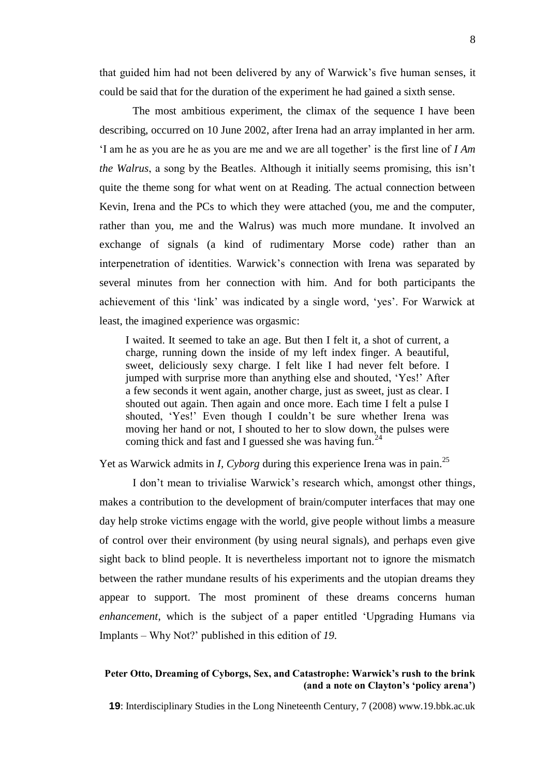that guided him had not been delivered by any of Warwick"s five human senses, it could be said that for the duration of the experiment he had gained a sixth sense.

The most ambitious experiment, the climax of the sequence I have been describing, occurred on 10 June 2002, after Irena had an array implanted in her arm. "I am he as you are he as you are me and we are all together" is the first line of *I Am the Walrus*, a song by the Beatles. Although it initially seems promising, this isn"t quite the theme song for what went on at Reading. The actual connection between Kevin, Irena and the PCs to which they were attached (you, me and the computer, rather than you, me and the Walrus) was much more mundane. It involved an exchange of signals (a kind of rudimentary Morse code) rather than an interpenetration of identities. Warwick"s connection with Irena was separated by several minutes from her connection with him. And for both participants the achievement of this "link" was indicated by a single word, "yes". For Warwick at least, the imagined experience was orgasmic:

I waited. It seemed to take an age. But then I felt it, a shot of current, a charge, running down the inside of my left index finger. A beautiful, sweet, deliciously sexy charge. I felt like I had never felt before. I jumped with surprise more than anything else and shouted, "Yes!" After a few seconds it went again, another charge, just as sweet, just as clear. I shouted out again. Then again and once more. Each time I felt a pulse I shouted, "Yes!" Even though I couldn"t be sure whether Irena was moving her hand or not, I shouted to her to slow down, the pulses were coming thick and fast and I guessed she was having fun.<sup>24</sup>

Yet as Warwick admits in *I, Cyborg* during this experience Irena was in pain.<sup>25</sup>

I don"t mean to trivialise Warwick"s research which, amongst other things, makes a contribution to the development of brain/computer interfaces that may one day help stroke victims engage with the world, give people without limbs a measure of control over their environment (by using neural signals), and perhaps even give sight back to blind people. It is nevertheless important not to ignore the mismatch between the rather mundane results of his experiments and the utopian dreams they appear to support. The most prominent of these dreams concerns human *enhancement*, which is the subject of a paper entitled "Upgrading Humans via Implants – Why Not?" published in this edition of *19*.

#### **Peter Otto, Dreaming of Cyborgs, Sex, and Catastrophe: Warwick's rush to the brink (and a note on Clayton's 'policy arena')**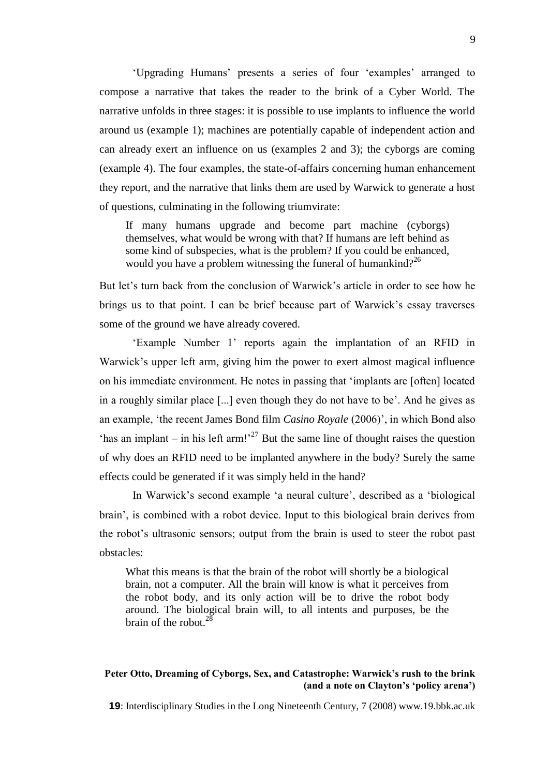"Upgrading Humans" presents a series of four "examples" arranged to compose a narrative that takes the reader to the brink of a Cyber World. The narrative unfolds in three stages: it is possible to use implants to influence the world around us (example 1); machines are potentially capable of independent action and can already exert an influence on us (examples 2 and 3); the cyborgs are coming (example 4). The four examples, the state-of-affairs concerning human enhancement they report, and the narrative that links them are used by Warwick to generate a host of questions, culminating in the following triumvirate:

If many humans upgrade and become part machine (cyborgs) themselves, what would be wrong with that? If humans are left behind as some kind of subspecies, what is the problem? If you could be enhanced, would you have a problem witnessing the funeral of humankind?<sup>26</sup>

But let's turn back from the conclusion of Warwick's article in order to see how he brings us to that point. I can be brief because part of Warwick's essay traverses some of the ground we have already covered.

"Example Number 1" reports again the implantation of an RFID in Warwick"s upper left arm, giving him the power to exert almost magical influence on his immediate environment. He notes in passing that "implants are [often] located in a roughly similar place [...] even though they do not have to be'. And he gives as an example, "the recent James Bond film *Casino Royale* (2006)", in which Bond also 'has an implant – in his left arm!'<sup>27</sup> But the same line of thought raises the question of why does an RFID need to be implanted anywhere in the body? Surely the same effects could be generated if it was simply held in the hand?

In Warwick"s second example "a neural culture", described as a "biological brain", is combined with a robot device. Input to this biological brain derives from the robot"s ultrasonic sensors; output from the brain is used to steer the robot past obstacles:

What this means is that the brain of the robot will shortly be a biological brain, not a computer. All the brain will know is what it perceives from the robot body, and its only action will be to drive the robot body around. The biological brain will, to all intents and purposes, be the brain of the robot. $28$ 

#### **Peter Otto, Dreaming of Cyborgs, Sex, and Catastrophe: Warwick's rush to the brink (and a note on Clayton's 'policy arena')**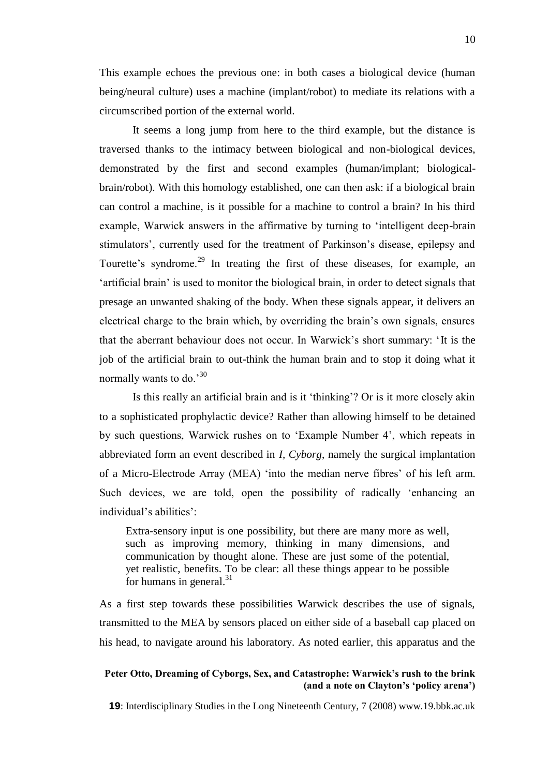This example echoes the previous one: in both cases a biological device (human being/neural culture) uses a machine (implant/robot) to mediate its relations with a circumscribed portion of the external world.

It seems a long jump from here to the third example, but the distance is traversed thanks to the intimacy between biological and non-biological devices, demonstrated by the first and second examples (human/implant; biologicalbrain/robot). With this homology established, one can then ask: if a biological brain can control a machine, is it possible for a machine to control a brain? In his third example, Warwick answers in the affirmative by turning to "intelligent deep-brain stimulators', currently used for the treatment of Parkinson's disease, epilepsy and Tourette's syndrome.<sup>29</sup> In treating the first of these diseases, for example, an "artificial brain" is used to monitor the biological brain, in order to detect signals that presage an unwanted shaking of the body. When these signals appear, it delivers an electrical charge to the brain which, by overriding the brain"s own signals, ensures that the aberrant behaviour does not occur. In Warwick"s short summary: "It is the job of the artificial brain to out-think the human brain and to stop it doing what it normally wants to do.<sup>30</sup>

Is this really an artificial brain and is it "thinking"? Or is it more closely akin to a sophisticated prophylactic device? Rather than allowing himself to be detained by such questions, Warwick rushes on to "Example Number 4", which repeats in abbreviated form an event described in *I, Cyborg*, namely the surgical implantation of a Micro-Electrode Array (MEA) "into the median nerve fibres" of his left arm. Such devices, we are told, open the possibility of radically "enhancing an individual's abilities':

Extra-sensory input is one possibility, but there are many more as well, such as improving memory, thinking in many dimensions, and communication by thought alone. These are just some of the potential, yet realistic, benefits. To be clear: all these things appear to be possible for humans in general. $31$ 

As a first step towards these possibilities Warwick describes the use of signals, transmitted to the MEA by sensors placed on either side of a baseball cap placed on his head, to navigate around his laboratory. As noted earlier, this apparatus and the

#### **Peter Otto, Dreaming of Cyborgs, Sex, and Catastrophe: Warwick's rush to the brink (and a note on Clayton's 'policy arena')**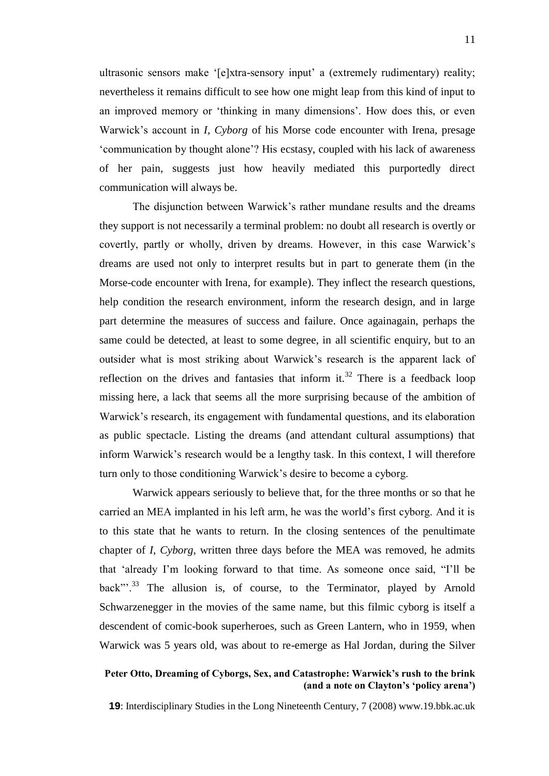ultrasonic sensors make '[e]xtra-sensory input' a (extremely rudimentary) reality; nevertheless it remains difficult to see how one might leap from this kind of input to an improved memory or "thinking in many dimensions". How does this, or even Warwick"s account in *I, Cyborg* of his Morse code encounter with Irena, presage "communication by thought alone"? His ecstasy, coupled with his lack of awareness of her pain, suggests just how heavily mediated this purportedly direct communication will always be.

The disjunction between Warwick"s rather mundane results and the dreams they support is not necessarily a terminal problem: no doubt all research is overtly or covertly, partly or wholly, driven by dreams. However, in this case Warwick"s dreams are used not only to interpret results but in part to generate them (in the Morse-code encounter with Irena, for example). They inflect the research questions, help condition the research environment, inform the research design, and in large part determine the measures of success and failure. Once againagain, perhaps the same could be detected, at least to some degree, in all scientific enquiry, but to an outsider what is most striking about Warwick"s research is the apparent lack of reflection on the drives and fantasies that inform it.<sup>32</sup> There is a feedback loop missing here, a lack that seems all the more surprising because of the ambition of Warwick"s research, its engagement with fundamental questions, and its elaboration as public spectacle. Listing the dreams (and attendant cultural assumptions) that inform Warwick"s research would be a lengthy task. In this context, I will therefore turn only to those conditioning Warwick"s desire to become a cyborg.

Warwick appears seriously to believe that, for the three months or so that he carried an MEA implanted in his left arm, he was the world"s first cyborg. And it is to this state that he wants to return. In the closing sentences of the penultimate chapter of *I, Cyborg*, written three days before the MEA was removed, he admits that "already I"m looking forward to that time. As someone once said, "I"ll be back"<sup>33</sup>. The allusion is, of course, to the Terminator, played by Arnold Schwarzenegger in the movies of the same name, but this filmic cyborg is itself a descendent of comic-book superheroes, such as Green Lantern, who in 1959, when Warwick was 5 years old, was about to re-emerge as Hal Jordan, during the Silver

#### **Peter Otto, Dreaming of Cyborgs, Sex, and Catastrophe: Warwick's rush to the brink (and a note on Clayton's 'policy arena')**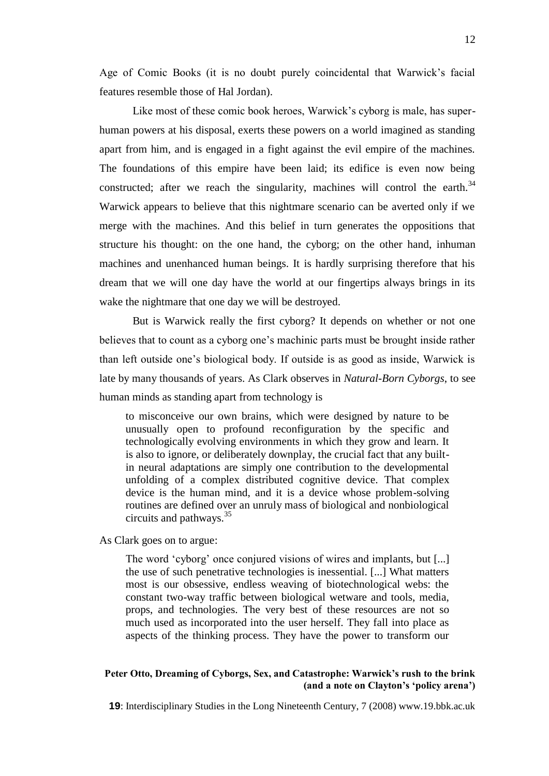Age of Comic Books (it is no doubt purely coincidental that Warwick"s facial features resemble those of Hal Jordan).

Like most of these comic book heroes, Warwick's cyborg is male, has superhuman powers at his disposal, exerts these powers on a world imagined as standing apart from him, and is engaged in a fight against the evil empire of the machines. The foundations of this empire have been laid; its edifice is even now being constructed; after we reach the singularity, machines will control the earth. $34$ Warwick appears to believe that this nightmare scenario can be averted only if we merge with the machines. And this belief in turn generates the oppositions that structure his thought: on the one hand, the cyborg; on the other hand, inhuman machines and unenhanced human beings. It is hardly surprising therefore that his dream that we will one day have the world at our fingertips always brings in its wake the nightmare that one day we will be destroyed.

But is Warwick really the first cyborg? It depends on whether or not one believes that to count as a cyborg one"s machinic parts must be brought inside rather than left outside one"s biological body. If outside is as good as inside, Warwick is late by many thousands of years. As Clark observes in *Natural-Born Cyborgs*, to see human minds as standing apart from technology is

to misconceive our own brains, which were designed by nature to be unusually open to profound reconfiguration by the specific and technologically evolving environments in which they grow and learn. It is also to ignore, or deliberately downplay, the crucial fact that any builtin neural adaptations are simply one contribution to the developmental unfolding of a complex distributed cognitive device. That complex device is the human mind, and it is a device whose problem-solving routines are defined over an unruly mass of biological and nonbiological circuits and pathways. $35$ 

As Clark goes on to argue:

The word 'cyborg' once conjured visions of wires and implants, but [...] the use of such penetrative technologies is inessential. [...] What matters most is our obsessive, endless weaving of biotechnological webs: the constant two-way traffic between biological wetware and tools, media, props, and technologies. The very best of these resources are not so much used as incorporated into the user herself. They fall into place as aspects of the thinking process. They have the power to transform our

#### **Peter Otto, Dreaming of Cyborgs, Sex, and Catastrophe: Warwick's rush to the brink (and a note on Clayton's 'policy arena')**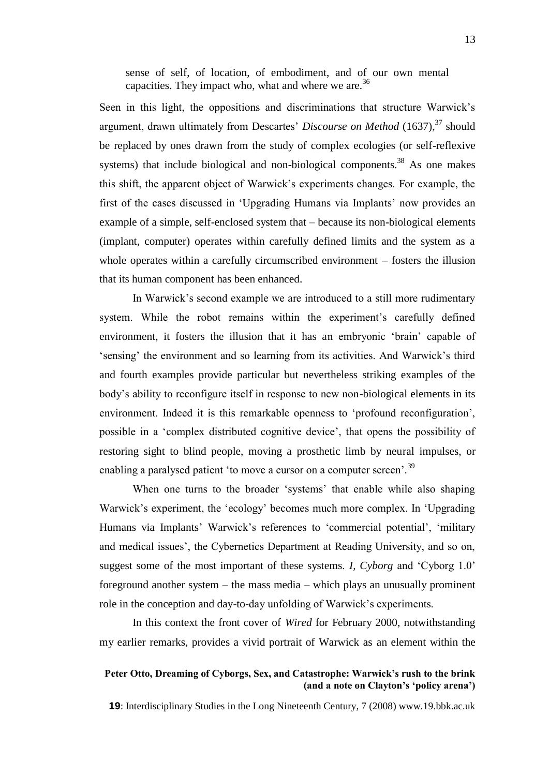sense of self, of location, of embodiment, and of our own mental capacities. They impact who, what and where we are.<sup>36</sup>

Seen in this light, the oppositions and discriminations that structure Warwick"s argument, drawn ultimately from Descartes' *Discourse on Method* (1637),<sup>37</sup> should be replaced by ones drawn from the study of complex ecologies (or self-reflexive systems) that include biological and non-biological components.<sup>38</sup> As one makes this shift, the apparent object of Warwick"s experiments changes. For example, the first of the cases discussed in "Upgrading Humans via Implants" now provides an example of a simple, self-enclosed system that – because its non-biological elements (implant, computer) operates within carefully defined limits and the system as a whole operates within a carefully circumscribed environment – fosters the illusion that its human component has been enhanced.

In Warwick"s second example we are introduced to a still more rudimentary system. While the robot remains within the experiment's carefully defined environment, it fosters the illusion that it has an embryonic "brain" capable of 'sensing' the environment and so learning from its activities. And Warwick's third and fourth examples provide particular but nevertheless striking examples of the body"s ability to reconfigure itself in response to new non-biological elements in its environment. Indeed it is this remarkable openness to 'profound reconfiguration', possible in a "complex distributed cognitive device", that opens the possibility of restoring sight to blind people, moving a prosthetic limb by neural impulses, or enabling a paralysed patient 'to move a cursor on a computer screen'.<sup>39</sup>

When one turns to the broader 'systems' that enable while also shaping Warwick"s experiment, the "ecology" becomes much more complex. In "Upgrading Humans via Implants' Warwick's references to 'commercial potential', 'military and medical issues', the Cybernetics Department at Reading University, and so on, suggest some of the most important of these systems. *I, Cyborg* and "Cyborg 1.0" foreground another system – the mass media – which plays an unusually prominent role in the conception and day-to-day unfolding of Warwick's experiments.

In this context the front cover of *Wired* for February 2000, notwithstanding my earlier remarks, provides a vivid portrait of Warwick as an element within the

#### **Peter Otto, Dreaming of Cyborgs, Sex, and Catastrophe: Warwick's rush to the brink (and a note on Clayton's 'policy arena')**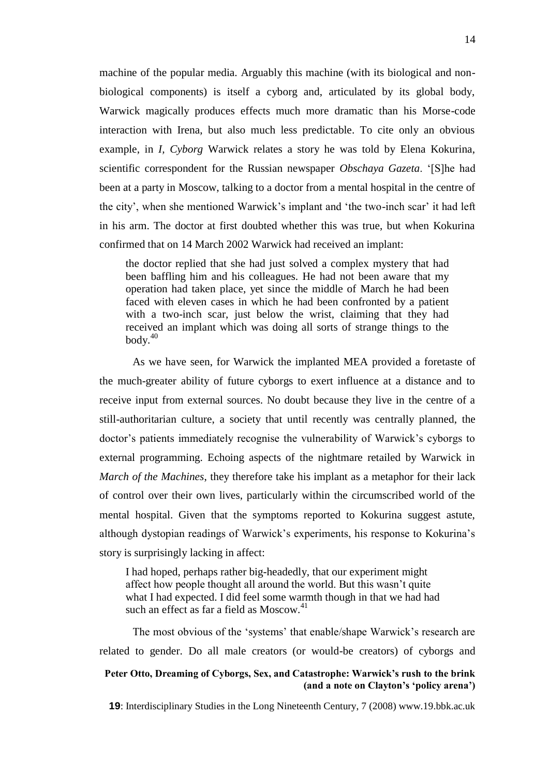machine of the popular media. Arguably this machine (with its biological and nonbiological components) is itself a cyborg and, articulated by its global body, Warwick magically produces effects much more dramatic than his Morse-code interaction with Irena, but also much less predictable. To cite only an obvious example, in *I, Cyborg* Warwick relates a story he was told by Elena Kokurina, scientific correspondent for the Russian newspaper *Obschaya Gazeta*. "[S]he had been at a party in Moscow, talking to a doctor from a mental hospital in the centre of the city", when she mentioned Warwick"s implant and "the two-inch scar" it had left in his arm. The doctor at first doubted whether this was true, but when Kokurina confirmed that on 14 March 2002 Warwick had received an implant:

the doctor replied that she had just solved a complex mystery that had been baffling him and his colleagues. He had not been aware that my operation had taken place, yet since the middle of March he had been faced with eleven cases in which he had been confronted by a patient with a two-inch scar, just below the wrist, claiming that they had received an implant which was doing all sorts of strange things to the  $body<sup>40</sup>$ 

As we have seen, for Warwick the implanted MEA provided a foretaste of the much-greater ability of future cyborgs to exert influence at a distance and to receive input from external sources. No doubt because they live in the centre of a still-authoritarian culture, a society that until recently was centrally planned, the doctor"s patients immediately recognise the vulnerability of Warwick"s cyborgs to external programming. Echoing aspects of the nightmare retailed by Warwick in *March of the Machines*, they therefore take his implant as a metaphor for their lack of control over their own lives, particularly within the circumscribed world of the mental hospital. Given that the symptoms reported to Kokurina suggest astute, although dystopian readings of Warwick"s experiments, his response to Kokurina"s story is surprisingly lacking in affect:

I had hoped, perhaps rather big-headedly, that our experiment might affect how people thought all around the world. But this wasn"t quite what I had expected. I did feel some warmth though in that we had had such an effect as far a field as Moscow.<sup>41</sup>

The most obvious of the 'systems' that enable/shape Warwick's research are related to gender. Do all male creators (or would-be creators) of cyborgs and

#### **Peter Otto, Dreaming of Cyborgs, Sex, and Catastrophe: Warwick's rush to the brink (and a note on Clayton's 'policy arena')**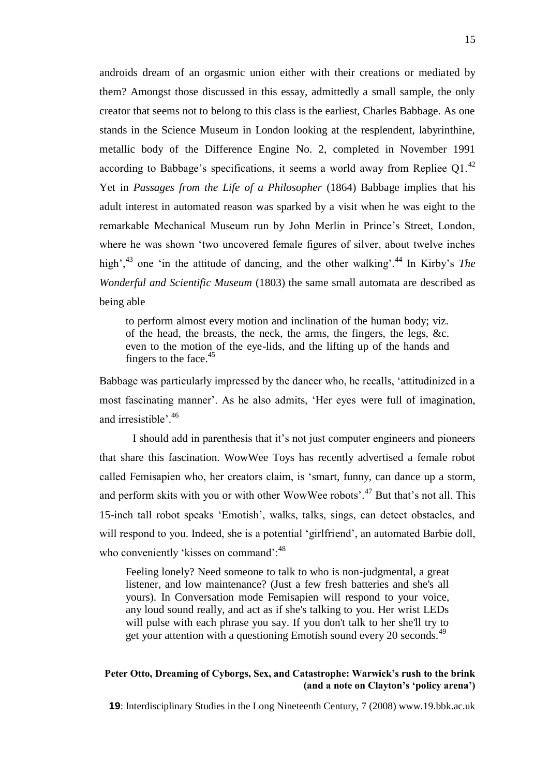androids dream of an orgasmic union either with their creations or mediated by them? Amongst those discussed in this essay, admittedly a small sample, the only creator that seems not to belong to this class is the earliest, Charles Babbage. As one stands in the Science Museum in London looking at the resplendent, labyrinthine, metallic body of the Difference Engine No. 2, completed in November 1991 according to Babbage's specifications, it seems a world away from Repliee O1.<sup>42</sup> Yet in *Passages from the Life of a Philosopher* (1864) Babbage implies that his adult interest in automated reason was sparked by a visit when he was eight to the remarkable Mechanical Museum run by John Merlin in Prince"s Street, London, where he was shown "two uncovered female figures of silver, about twelve inches high',<sup>43</sup> one 'in the attitude of dancing, and the other walking'.<sup>44</sup> In Kirby's *The Wonderful and Scientific Museum* (1803) the same small automata are described as being able

to perform almost every motion and inclination of the human body; viz. of the head, the breasts, the neck, the arms, the fingers, the legs, &c. even to the motion of the eye-lids, and the lifting up of the hands and fingers to the face. $45$ 

Babbage was particularly impressed by the dancer who, he recalls, "attitudinized in a most fascinating manner". As he also admits, "Her eyes were full of imagination, and irresistible'.<sup>46</sup>

I should add in parenthesis that it"s not just computer engineers and pioneers that share this fascination. WowWee Toys has recently advertised a female robot called Femisapien who, her creators claim, is "smart, funny, can dance up a storm, and perform skits with you or with other WowWee robots'.<sup>47</sup> But that's not all. This 15-inch tall robot speaks "Emotish", walks, talks, sings, can detect obstacles, and will respond to you. Indeed, she is a potential 'girlfriend', an automated Barbie doll, who conveniently 'kisses on command':<sup>48</sup>

Feeling lonely? Need someone to talk to who is non-judgmental, a great listener, and low maintenance? (Just a few fresh batteries and she's all yours). In Conversation mode Femisapien will respond to your voice, any loud sound really, and act as if she's talking to you. Her wrist LEDs will pulse with each phrase you say. If you don't talk to her she'll try to get your attention with a questioning Emotish sound every 20 seconds.<sup>49</sup>

#### **Peter Otto, Dreaming of Cyborgs, Sex, and Catastrophe: Warwick's rush to the brink (and a note on Clayton's 'policy arena')**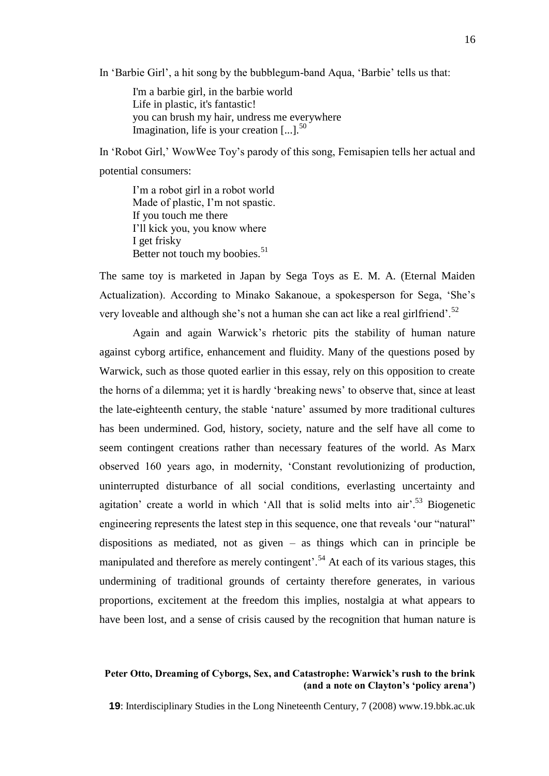In "Barbie Girl", a hit song by the bubblegum-band Aqua, "Barbie" tells us that:

I'm a barbie girl, in the barbie world Life in plastic, it's fantastic! you can brush my hair, undress me everywhere Imagination, life is your creation  $\left[ \ldots \right]$ .<sup>50</sup>

In "Robot Girl," WowWee Toy"s parody of this song, Femisapien tells her actual and potential consumers:

I'm a robot girl in a robot world Made of plastic, I'm not spastic. If you touch me there I"ll kick you, you know where I get frisky Better not touch my boobies.<sup>51</sup>

The same toy is marketed in Japan by Sega Toys as E. M. A. (Eternal Maiden Actualization). According to Minako Sakanoue, a spokesperson for Sega, "She"s very loveable and although she's not a human she can act like a real girlfriend'.<sup>52</sup>

Again and again Warwick"s rhetoric pits the stability of human nature against cyborg artifice, enhancement and fluidity. Many of the questions posed by Warwick, such as those quoted earlier in this essay, rely on this opposition to create the horns of a dilemma; yet it is hardly "breaking news" to observe that, since at least the late-eighteenth century, the stable "nature" assumed by more traditional cultures has been undermined. God, history, society, nature and the self have all come to seem contingent creations rather than necessary features of the world. As Marx observed 160 years ago, in modernity, "Constant revolutionizing of production, uninterrupted disturbance of all social conditions, everlasting uncertainty and agitation' create a world in which 'All that is solid melts into air'.<sup>53</sup> Biogenetic engineering represents the latest step in this sequence, one that reveals 'our "natural" dispositions as mediated, not as given – as things which can in principle be manipulated and therefore as merely contingent'.<sup>54</sup> At each of its various stages, this undermining of traditional grounds of certainty therefore generates, in various proportions, excitement at the freedom this implies, nostalgia at what appears to have been lost, and a sense of crisis caused by the recognition that human nature is

#### **Peter Otto, Dreaming of Cyborgs, Sex, and Catastrophe: Warwick's rush to the brink (and a note on Clayton's 'policy arena')**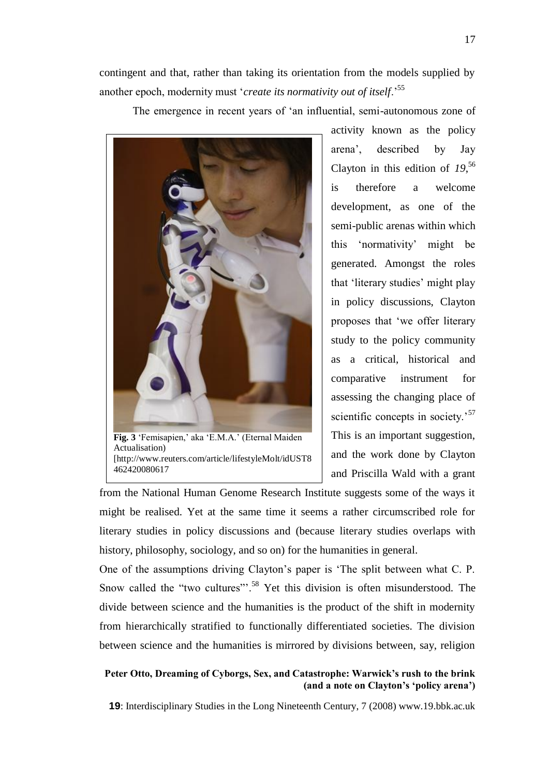contingent and that, rather than taking its orientation from the models supplied by another epoch, modernity must "*create its normativity out of itself*."<sup>55</sup>

The emergence in recent years of "an influential, semi-autonomous zone of



[\[http://www.reuters.com/article/lifestyleMolt/idUST8](http://www.reuters.com/article/lifestyleMolt/idUST8462420080617) 462420080617

activity known as the policy arena", described by Jay Clayton in this edition of *19*, 56 is therefore a welcome development, as one of the semi-public arenas within which this "normativity" might be generated. Amongst the roles that "literary studies" might play in policy discussions, Clayton proposes that "we offer literary study to the policy community as a critical, historical and comparative instrument for assessing the changing place of scientific concepts in society.'<sup>57</sup> This is an important suggestion, and the work done by Clayton and Priscilla Wald with a grant

from the National Human Genome Research Institute suggests some of the ways it might be realised. Yet at the same time it seems a rather circumscribed role for literary studies in policy discussions and (because literary studies overlaps with history, philosophy, sociology, and so on) for the humanities in general.

One of the assumptions driving Clayton"s paper is "The split between what C. P. Snow called the "two cultures"<sup>38</sup> Yet this division is often misunderstood. The divide between science and the humanities is the product of the shift in modernity from hierarchically stratified to functionally differentiated societies. The division between science and the humanities is mirrored by divisions between, say, religion

# **Peter Otto, Dreaming of Cyborgs, Sex, and Catastrophe: Warwick's rush to the brink (and a note on Clayton's 'policy arena')**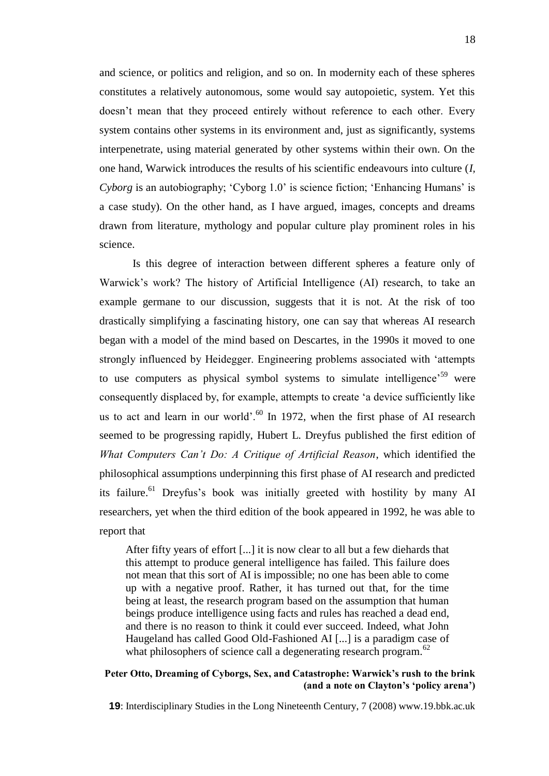and science, or politics and religion, and so on. In modernity each of these spheres constitutes a relatively autonomous, some would say autopoietic, system. Yet this doesn"t mean that they proceed entirely without reference to each other. Every system contains other systems in its environment and, just as significantly, systems interpenetrate, using material generated by other systems within their own. On the one hand, Warwick introduces the results of his scientific endeavours into culture (*I, Cyborg* is an autobiography; 'Cyborg 1.0' is science fiction; 'Enhancing Humans' is a case study). On the other hand, as I have argued, images, concepts and dreams drawn from literature, mythology and popular culture play prominent roles in his science.

Is this degree of interaction between different spheres a feature only of Warwick"s work? The history of Artificial Intelligence (AI) research, to take an example germane to our discussion, suggests that it is not. At the risk of too drastically simplifying a fascinating history, one can say that whereas AI research began with a model of the mind based on Descartes, in the 1990s it moved to one strongly influenced by Heidegger. Engineering problems associated with "attempts to use computers as physical symbol systems to simulate intelligence<sup> $59$ </sup> were consequently displaced by, for example, attempts to create "a device sufficiently like us to act and learn in our world'. $^{60}$  In 1972, when the first phase of AI research seemed to be progressing rapidly, Hubert L. Dreyfus published the first edition of *What Computers Can't Do: A Critique of Artificial Reason*, which identified the philosophical assumptions underpinning this first phase of AI research and predicted its failure.<sup>61</sup> Dreyfus's book was initially greeted with hostility by many AI researchers, yet when the third edition of the book appeared in 1992, he was able to report that

After fifty years of effort [...] it is now clear to all but a few diehards that this attempt to produce general intelligence has failed. This failure does not mean that this sort of AI is impossible; no one has been able to come up with a negative proof. Rather, it has turned out that, for the time being at least, the research program based on the assumption that human beings produce intelligence using facts and rules has reached a dead end, and there is no reason to think it could ever succeed. Indeed, what John Haugeland has called Good Old-Fashioned AI [...] is a paradigm case of what philosophers of science call a degenerating research program.<sup>62</sup>

#### **Peter Otto, Dreaming of Cyborgs, Sex, and Catastrophe: Warwick's rush to the brink (and a note on Clayton's 'policy arena')**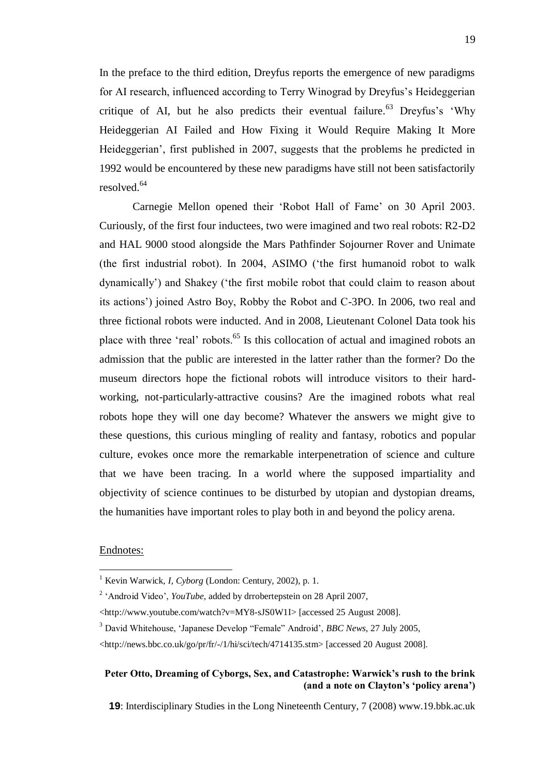In the preface to the third edition, Dreyfus reports the emergence of new paradigms for AI research, influenced according to Terry Winograd by Dreyfus's Heideggerian critique of AI, but he also predicts their eventual failure.<sup>63</sup> Dreyfus's 'Why Heideggerian AI Failed and How Fixing it Would Require Making It More Heideggerian", first published in 2007, suggests that the problems he predicted in 1992 would be encountered by these new paradigms have still not been satisfactorily resolved<sup>64</sup>

Carnegie Mellon opened their "Robot Hall of Fame" on 30 April 2003. Curiously, of the first four inductees, two were imagined and two real robots: R2-D2 and HAL 9000 stood alongside the Mars Pathfinder Sojourner Rover and Unimate (the first industrial robot). In 2004, ASIMO ("the first humanoid robot to walk dynamically") and Shakey ("the first mobile robot that could claim to reason about its actions") joined Astro Boy, Robby the Robot and C-3PO. In 2006, two real and three fictional robots were inducted. And in 2008, Lieutenant Colonel Data took his place with three 'real' robots.<sup>65</sup> Is this collocation of actual and imagined robots an admission that the public are interested in the latter rather than the former? Do the museum directors hope the fictional robots will introduce visitors to their hardworking, not-particularly-attractive cousins? Are the imagined robots what real robots hope they will one day become? Whatever the answers we might give to these questions, this curious mingling of reality and fantasy, robotics and popular culture, evokes once more the remarkable interpenetration of science and culture that we have been tracing. In a world where the supposed impartiality and objectivity of science continues to be disturbed by utopian and dystopian dreams, the humanities have important roles to play both in and beyond the policy arena.

#### Endnotes:

 $\overline{a}$ 

<sup>2</sup> 'Android Video', *YouTube*, added by drrobertepstein on 28 April 2007,

#### **Peter Otto, Dreaming of Cyborgs, Sex, and Catastrophe: Warwick's rush to the brink (and a note on Clayton's 'policy arena')**

<sup>&</sup>lt;sup>1</sup> Kevin Warwick, *I, Cyborg* (London: Century, 2002), p. 1.

[<sup>&</sup>lt;http://www.youtube.com/watch?v=MY8-sJS0W1I>](http://www.youtube.com/watch?v=MY8-sJS0W1I) [accessed 25 August 2008].

<sup>3</sup> David Whitehouse, "Japanese Develop "Female" Android", *BBC News*, 27 July 2005,

 $\langle$ http://news.bbc.co.uk/go/pr/fr/-/1/hi/sci/tech/4714135.stm> [accessed 20 August 2008].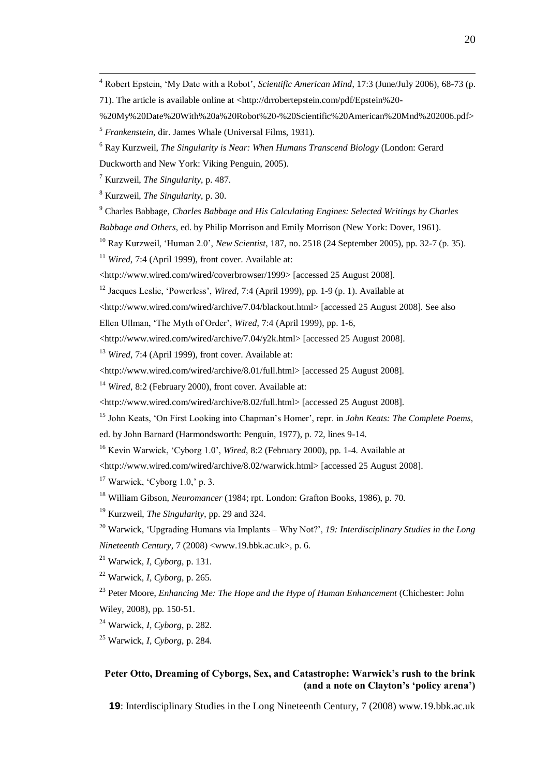<sup>4</sup> Robert Epstein, "My Date with a Robot", *Scientific American Mind*, 17:3 (June/July 2006), 68-73 (p. 71). The article is available online at <http://drrobertepstein.com/pdf/Epstein%20-

[%20My%20Date%20With%20a%20Robot%20-%20Scientific%20American%20Mnd%202006.pdf>](http://drrobertepstein.com/pdf/Epstein%20-%20My%20Date%20With%20a%20Robot%20-%20Scientific%20American%20Mnd%202006.pdf)

5 *Frankenstein*, dir. James Whale (Universal Films, 1931).

<sup>6</sup> Ray Kurzweil, *The Singularity is Near: When Humans Transcend Biology* (London: Gerard Duckworth and New York: Viking Penguin, 2005).

<sup>7</sup> Kurzweil, *The Singularity*, p. 487.

 $\overline{a}$ 

<sup>8</sup> Kurzweil, *The Singularity*, p. 30.

<sup>9</sup> Charles Babbage, *Charles Babbage and His Calculating Engines: Selected Writings by Charles Babbage and Others*, ed. by Philip Morrison and Emily Morrison (New York: Dover, 1961).

<sup>10</sup> Ray Kurzweil, "Human 2.0", *New Scientist*, 187, no. 2518 (24 September 2005), pp. 32-7 (p. 35).

<sup>11</sup> *Wired*, 7:4 (April 1999), front cover. Available at:

[<http://www.wired.com/wired/coverbrowser/1999>](http://www.wired.com/wired/coverbrowser/1999) [accessed 25 August 2008].

<sup>12</sup> Jacques Leslie, 'Powerless', *Wired*, 7:4 (April 1999), pp. 1-9 (p. 1). Available at

[<http://www.wired.com/wired/archive/7.04/blackout.html>](http://www.wired.com/wired/archive/7.04/blackout.html) [accessed 25 August 2008]. See also

Ellen Ullman, "The Myth of Order", *Wired*, 7:4 (April 1999), pp. 1-6,

[<http://www.wired.com/wired/archive/7.04/y2k.html>](http://www.wired.com/wired/archive/7.04/y2k.html) [accessed 25 August 2008].

<sup>13</sup> *Wired*, 7:4 (April 1999), front cover. Available at:

[<http://www.wired.com/wired/archive/8.01/full.html>](http://www.wired.com/wired/archive/8.01/full.html) [accessed 25 August 2008].

<sup>14</sup> *Wired*, 8:2 (February 2000), front cover. Available at:

[<http://www.wired.com/wired/archive/8.02/full.html>](http://www.wired.com/wired/archive/8.02/full.html) [accessed 25 August 2008].

<sup>15</sup> John Keats, 'On First Looking into Chapman's Homer', repr. in *John Keats: The Complete Poems*,

ed. by John Barnard (Harmondsworth: Penguin, 1977), p. 72, lines 9-14.

<sup>16</sup> Kevin Warwick, "Cyborg 1.0", *Wired*, 8:2 (February 2000), pp. 1-4. Available at

[<http://www.wired.com/wired/archive/8.02/warwick.html>](http://www.wired.com/wired/archive/8.02/warwick.html) [accessed 25 August 2008].

 $17$  Warwick, 'Cyborg 1.0,' p. 3.

<sup>18</sup> William Gibson, *Neuromancer* (1984; rpt. London: Grafton Books, 1986), p. 70.

<sup>19</sup> Kurzweil, *The Singularity*, pp. 29 and 324.

<sup>20</sup> Warwick, "Upgrading Humans via Implants – Why Not?", *19: Interdisciplinary Studies in the Long Nineteenth Century*, 7 (2008) [<www.19.bbk.ac.uk>](http://www.19.bbk.ac.uk/), p. 6.

<sup>21</sup> Warwick, *I, Cyborg*, p. 131.

<sup>22</sup> Warwick, *I, Cyborg*, p. 265.

<sup>23</sup> Peter Moore, *Enhancing Me: The Hope and the Hype of Human Enhancement* (Chichester: John Wiley, 2008), pp. 150-51.

<sup>24</sup> Warwick, *I, Cyborg*, p. 282.

<sup>25</sup> Warwick, *I, Cyborg*, p. 284.

# **Peter Otto, Dreaming of Cyborgs, Sex, and Catastrophe: Warwick's rush to the brink (and a note on Clayton's 'policy arena')**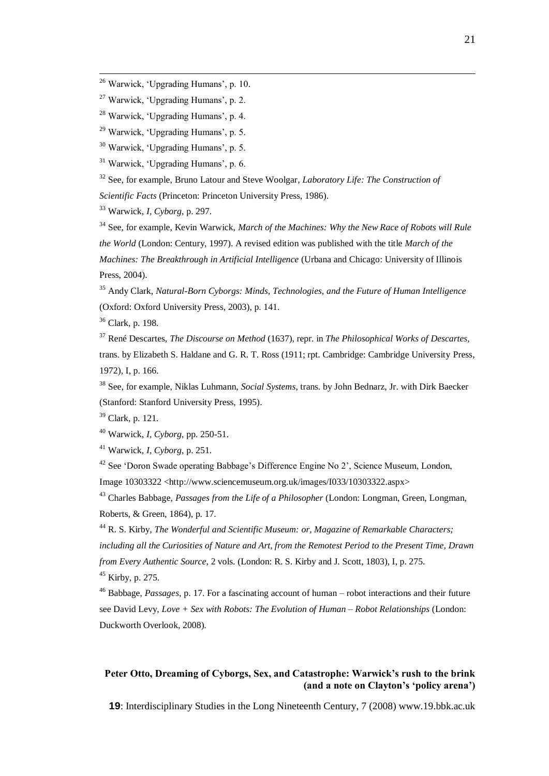$\overline{a}$ 

- $30$  Warwick, 'Upgrading Humans', p. 5.
- $31$  Warwick, 'Upgrading Humans', p. 6.

<sup>32</sup> See, for example, Bruno Latour and Steve Woolgar*, Laboratory Life: The Construction of* 

*Scientific Facts* (Princeton: Princeton University Press, 1986).

<sup>33</sup> Warwick*, I, Cyborg*, p. 297.

<sup>34</sup> See, for example, Kevin Warwick, *March of the Machines: Why the New Race of Robots will Rule the World* (London: Century, 1997). A revised edition was published with the title *March of the Machines: The Breakthrough in Artificial Intelligence* (Urbana and Chicago: University of Illinois Press, 2004).

<sup>35</sup> Andy Clark, *Natural-Born Cyborgs: Minds, Technologies, and the Future of Human Intelligence* (Oxford: Oxford University Press, 2003), p. 141.

<sup>36</sup> Clark, p. 198.

<sup>37</sup> René Descartes, *The Discourse on Method* (1637), repr. in *The Philosophical Works of Descartes*, trans. by Elizabeth S. Haldane and G. R. T. Ross (1911; rpt. Cambridge: Cambridge University Press, 1972), I, p. 166.

<sup>38</sup> See, for example, Niklas Luhmann, *Social Systems*, trans. by John Bednarz, Jr. with Dirk Baecker (Stanford: Stanford University Press, 1995).

<sup>39</sup> Clark, p. 121.

<sup>40</sup> Warwick, *I, Cyborg*, pp. 250-51.

<sup>41</sup> Warwick, *I, Cyborg*, p. 251.

<sup>42</sup> See 'Doron Swade operating Babbage's Difference Engine No 2', Science Museum, London, Image 10303322 [<http://www.sciencemuseum.org.uk/images/I033/10303322.aspx>](http://www.sciencemuseum.org.uk/images/I033/10303322.aspx)

<sup>43</sup> Charles Babbage, *Passages from the Life of a Philosopher* (London: Longman, Green, Longman, Roberts, & Green, 1864), p. 17.

<sup>44</sup> R. S. Kirby, *The Wonderful and Scientific Museum: or, Magazine of Remarkable Characters; including all the Curiosities of Nature and Art, from the Remotest Period to the Present Time, Drawn from Every Authentic Source*, 2 vols. (London: R. S. Kirby and J. Scott, 1803), I, p. 275. <sup>45</sup> Kirby, p. 275.

<sup>46</sup> Babbage, *Passages*, p. 17. For a fascinating account of human – robot interactions and their future see David Levy, *Love + Sex with Robots: The Evolution of Human – Robot Relationships* (London: Duckworth Overlook, 2008).

# **Peter Otto, Dreaming of Cyborgs, Sex, and Catastrophe: Warwick's rush to the brink (and a note on Clayton's 'policy arena')**

<sup>&</sup>lt;sup>26</sup> Warwick, 'Upgrading Humans', p. 10.

 $27$  Warwick, 'Upgrading Humans', p. 2.

 $28$  Warwick, 'Upgrading Humans', p. 4.

 $29$  Warwick, 'Upgrading Humans', p. 5.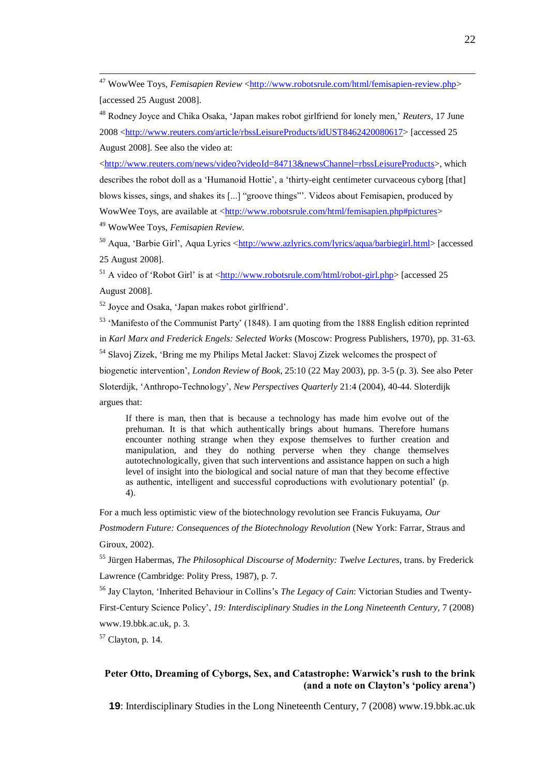<sup>47</sup> WowWee Toys, *Femisapien Review* [<http://www.robotsrule.com/html/femisapien-review.php>](http://www.robotsrule.com/html/femisapien-review.php) [accessed 25 August 2008].

<sup>48</sup> Rodney Joyce and Chika Osaka, "Japan makes robot girlfriend for lonely men," *Reuters*, 17 June 2008 [<http://www.reuters.com/article/rbssLeisureProducts/idUST8462420080617>](http://www.reuters.com/article/rbssLeisureProducts/idUST8462420080617) [accessed 25 August 2008]. See also the video at:

[<http://www.reuters.com/news/video?videoId=84713&newsChannel=rbssLeisureProducts>](http://www.reuters.com/news/video?videoId=84713&newsChannel=rbssLeisureProducts), which describes the robot doll as a 'Humanoid Hottie', a 'thirty-eight centimeter curvaceous cyborg [that] blows kisses, sings, and shakes its [...] "groove things"". Videos about Femisapien, produced by WowWee Toys, are available at [<http://www.robotsrule.com/html/femisapien.php#pictures>](http://www.robotsrule.com/html/femisapien.php#pictures) <sup>49</sup> WowWee Toys, *Femisapien Review*.

<sup>50</sup> Aqua, "Barbie Girl", Aqua Lyrics [<http://www.azlyrics.com/lyrics/aqua/barbiegirl.html>](http://www.azlyrics.com/lyrics/aqua/barbiegirl.html) [accessed 25 August 2008].

 $51$  A video of 'Robot Girl' is at  $\langle \frac{http://www.robotsrule.com/html/robot-girl.php>}[accessed 25]$ August 2008].

<sup>52</sup> Joyce and Osaka, "Japan makes robot girlfriend".

 $\overline{a}$ 

<sup>53</sup> 'Manifesto of the Communist Party' (1848). I am quoting from the 1888 English edition reprinted

in *Karl Marx and Frederick Engels: Selected Works* (Moscow: Progress Publishers, 1970), pp. 31-63.

<sup>54</sup> Slavoj Zizek, "Bring me my Philips Metal Jacket: Slavoj Zizek welcomes the prospect of

biogenetic intervention", *London Review of Book*, 25:10 (22 May 2003), pp. 3-5 (p. 3). See also Peter

Sloterdijk, "Anthropo-Technology", *New Perspectives Quarterly* 21:4 (2004), 40-44. Sloterdijk argues that:

If there is man, then that is because a technology has made him evolve out of the prehuman. It is that which authentically brings about humans. Therefore humans encounter nothing strange when they expose themselves to further creation and manipulation, and they do nothing perverse when they change themselves autotechnologically, given that such interventions and assistance happen on such a high level of insight into the biological and social nature of man that they become effective as authentic, intelligent and successful coproductions with evolutionary potential" (p. 4).

For a much less optimistic view of the biotechnology revolution see Francis Fukuyama, *Our* 

*Postmodern Future: Consequences of the Biotechnology Revolution* (New York: Farrar, Straus and Giroux, 2002).

<sup>55</sup> Jürgen Habermas, *The Philosophical Discourse of Modernity: Twelve Lectures*, trans. by Frederick Lawrence (Cambridge: Polity Press, 1987), p. 7.

<sup>56</sup> Jay Clayton, "Inherited Behaviour in Collins"s *The Legacy of Cain*: Victorian Studies and Twenty-First-Century Science Policy", *19: Interdisciplinary Studies in the Long Nineteenth Century*, 7 (2008) www.19.bbk.ac.uk, p. 3.

 $57$  Clayton, p. 14.

#### **Peter Otto, Dreaming of Cyborgs, Sex, and Catastrophe: Warwick's rush to the brink (and a note on Clayton's 'policy arena')**